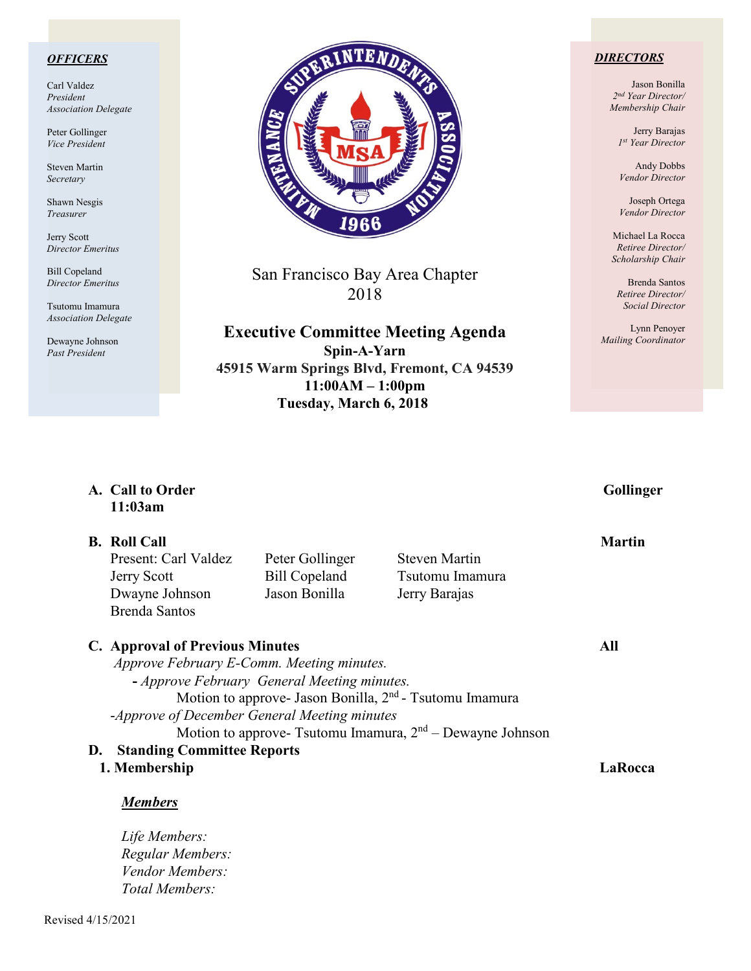### *OFFICERS*

Carl Valdez *President Association Delegate*

Peter Gollinger *Vice President*

Steven Martin *Secretary*

Shawn Nesgis *Treasurer*

Jerry Scott *Director Emeritus*

Bill Copeland *Director Emeritus*

Tsutomu Imamura *Association Delegate*

Dewayne Johnson *Past President*



San Francisco Bay Area Chapter 2018

**Executive Committee Meeting Agenda Spin-A-Yarn 45915 Warm Springs Blvd, Fremont, CA 94539 11:00AM – 1:00pm Tuesday, March 6, 2018**

### *DIRECTORS*

Jason Bonilla *2nd Year Director/ Membership Chair*

> Jerry Barajas *1st Year Director*

Andy Dobbs *Vendor Director*

Joseph Ortega *Vendor Director*

Michael La Rocca *Retiree Director/ Scholarship Chair*

Brenda Santos *Retiree Director/ Social Director*

Lynn Penoyer *Mailing Coordinator*

| A. Call to Order<br>11:03am                                                                                 |                                                                                                                                          |                                                                                                                                    | Gollinger     |
|-------------------------------------------------------------------------------------------------------------|------------------------------------------------------------------------------------------------------------------------------------------|------------------------------------------------------------------------------------------------------------------------------------|---------------|
| <b>B.</b> Roll Call<br>Present: Carl Valdez<br><b>Jerry Scott</b><br>Dwayne Johnson<br><b>Brenda Santos</b> | Peter Gollinger<br><b>Bill Copeland</b><br>Jason Bonilla                                                                                 | <b>Steven Martin</b><br>Tsutomu Imamura<br>Jerry Barajas                                                                           | <b>Martin</b> |
| <b>C.</b> Approval of Previous Minutes                                                                      | Approve February E-Comm. Meeting minutes.<br>- Approve February General Meeting minutes.<br>-Approve of December General Meeting minutes | Motion to approve- Jason Bonilla, 2 <sup>nd</sup> - Tsutomu Imamura<br>Motion to approve- Tsutomu Imamura, $2nd$ – Dewayne Johnson | All           |
| <b>Standing Committee Reports</b><br>D.<br>1. Membership<br><b>Members</b>                                  |                                                                                                                                          |                                                                                                                                    | LaRocca       |
| Life Members:<br>Regular Members:                                                                           |                                                                                                                                          |                                                                                                                                    |               |

*Vendor Members:* 

*Total Members:*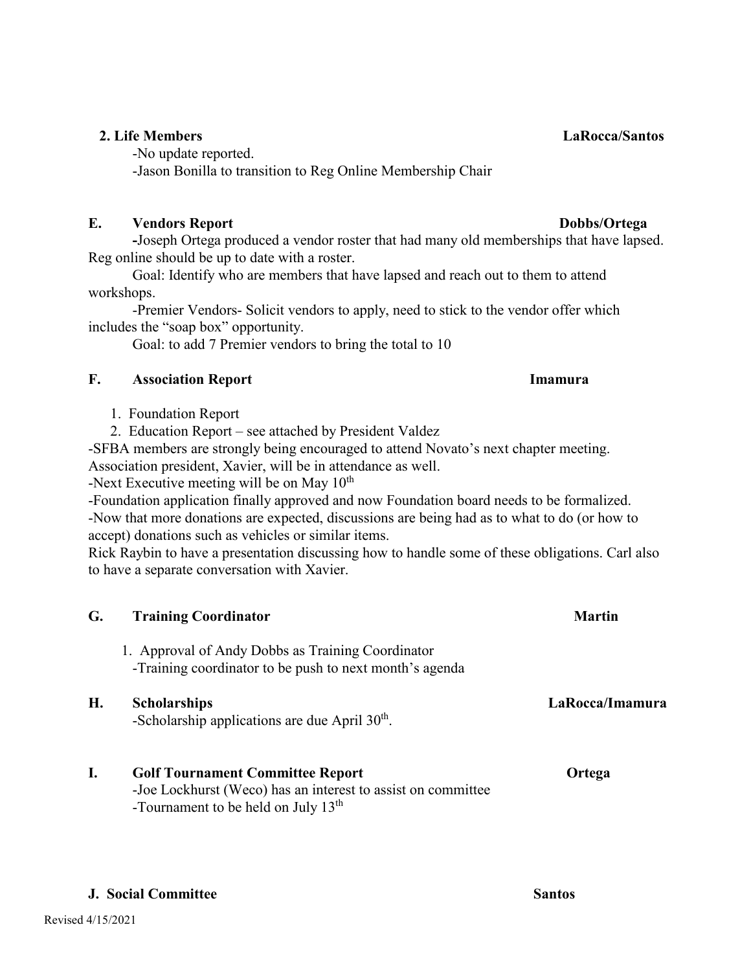# **2. Life Members LaRocca/Santos**

-No update reported. -Jason Bonilla to transition to Reg Online Membership Chair

### **E.** Vendors Report **Dobbs/Ortega**

**-**Joseph Ortega produced a vendor roster that had many old memberships that have lapsed. Reg online should be up to date with a roster.

Goal: Identify who are members that have lapsed and reach out to them to attend workshops.

-Premier Vendors- Solicit vendors to apply, need to stick to the vendor offer which includes the "soap box" opportunity.

Goal: to add 7 Premier vendors to bring the total to 10

# **F. Association Report Imamura**

1. Foundation Report

2. Education Report – see attached by President Valdez

-SFBA members are strongly being encouraged to attend Novato's next chapter meeting. Association president, Xavier, will be in attendance as well.

-Next Executive meeting will be on May  $10^{th}$ 

-Foundation application finally approved and now Foundation board needs to be formalized. -Now that more donations are expected, discussions are being had as to what to do (or how to accept) donations such as vehicles or similar items.

Rick Raybin to have a presentation discussing how to handle some of these obligations. Carl also to have a separate conversation with Xavier.

| G. | <b>Training Coordinator</b>                                                                                                                                | <b>Martin</b>   |
|----|------------------------------------------------------------------------------------------------------------------------------------------------------------|-----------------|
|    | 1. Approval of Andy Dobbs as Training Coordinator<br>-Training coordinator to be push to next month's agenda                                               |                 |
| H. | <b>Scholarships</b><br>-Scholarship applications are due April $30th$ .                                                                                    | LaRocca/Imamura |
| I. | <b>Golf Tournament Committee Report</b><br>-Joe Lockhurst (Weco) has an interest to assist on committee<br>-Tournament to be held on July 13 <sup>th</sup> | Ortega          |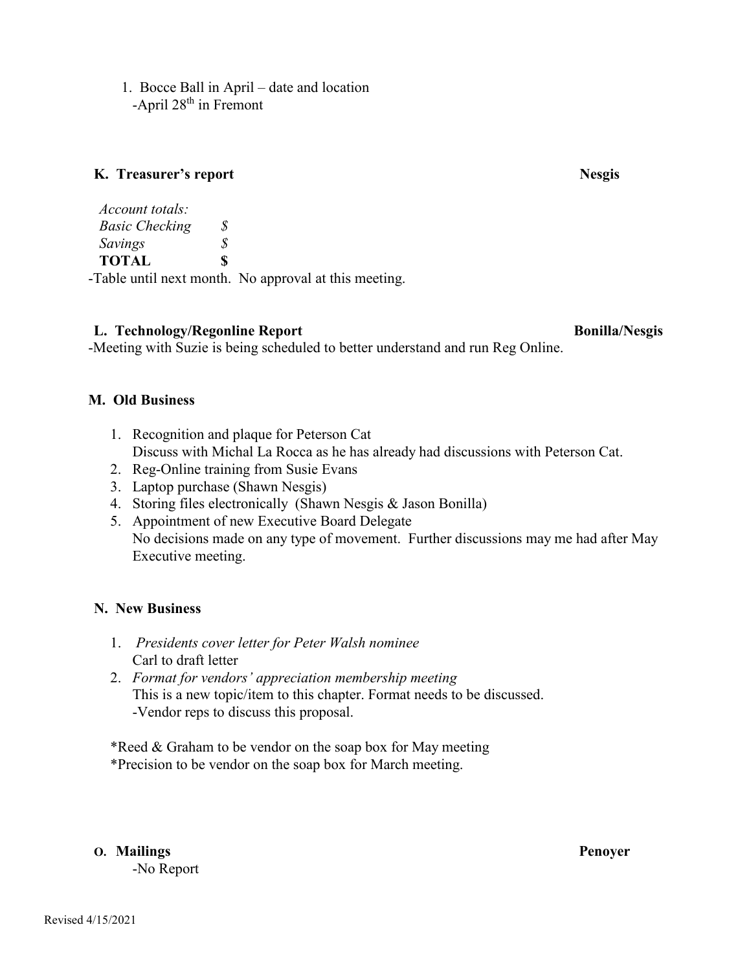1. Bocce Ball in April – date and location -April  $28<sup>th</sup>$  in Fremont

### **K. Treasurer's report Nesgis**

*Account totals: Basic Checking \$ Savings \$*  **TOTAL \$** -Table until next month. No approval at this meeting.

**L. Technology/Regonline Report Bonilla/Nesgis Bonilla/Nesgis** 

-Meeting with Suzie is being scheduled to better understand and run Reg Online.

# **M. Old Business**

- 1. Recognition and plaque for Peterson Cat Discuss with Michal La Rocca as he has already had discussions with Peterson Cat.
- 2. Reg-Online training from Susie Evans
- 3. Laptop purchase (Shawn Nesgis)
- 4. Storing files electronically (Shawn Nesgis & Jason Bonilla)
- 5. Appointment of new Executive Board Delegate No decisions made on any type of movement. Further discussions may me had after May Executive meeting.

# **N. New Business**

- 1. *Presidents cover letter for Peter Walsh nominee* Carl to draft letter
- 2. *Format for vendors' appreciation membership meeting* This is a new topic/item to this chapter. Format needs to be discussed. -Vendor reps to discuss this proposal.

\*Reed & Graham to be vendor on the soap box for May meeting

\*Precision to be vendor on the soap box for March meeting.

**O. Mailings Penoyer**

-No Report